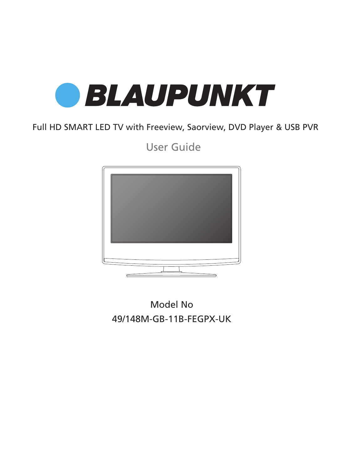

Full HD SMART LED TV with Freeview, Saorview, DVD Player & USB PVR

User Guide



49/148M-GB-11B-FEGPX-UK Model No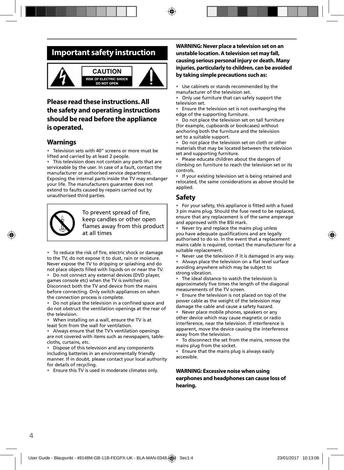## **Important safety instruction**



#### **CAUTION** SK OF ELECTRIC SHOCK **DO NOT OPEN**



### **Please read these instructions. All the safety and operating instructions should be read before the appliance is operated.**

### **Warnings**

• Television sets with 40" screens or more must be lifted and carried by at least 2 people.

• This television does not contain any parts that are serviceable by the user. In case of a fault, contact the manufacturer or authorised service department. Exposing the internal parts inside the TV may endanger your life. The manufacturers guarantee does not extend to faults caused by repairs carried out by unauthorised third parties.



To prevent spread of fire, keep candles or other open flames away from this product at all times

• To reduce the risk of fire, electric shock or damage to the TV, do not expose it to dust, rain or moisture. Never expose the TV to dripping or splashing and do not place objects filled with liquids on or near the TV.

• Do not connect any external devices (DVD player, games console etc) when the TV is switched on. Disconnect both the TV and device from the mains before connecting. Only switch appliances on when the connection process is complete.

Do not place the television in a confined space and do not obstruct the ventilation openings at the rear of the television.

• When installing on a wall, ensure the TV is at least 5cm from the wall for ventilation.

• Always ensure that the TV's ventilation openings are not covered with items such as newspapers, tablecloths, curtains, etc.

Dispose of this television and any components including batteries in an environmentally friendly manner. If in doubt, please contact your local authority for details of recycling.

• Ensure this TV is used in moderate climates only.

### **WARNING: Never place a television set on an unstable location. A television set may fall, causing serious personal injury or death. Many injuries, particularly to children, can be avoided by taking simple precautions such as:**

• Use cabinets or stands recommended by the manufacturer of the television set.

• Only use furniture that can safely support the television set.

• Ensure the television set is not overhanging the edge of the supporting furniture.

Do not place the television set on tall furniture (for example, cupboards or bookcases) without anchoring both the furniture and the television set to a suitable support.

• Do not place the television set on cloth or other materials that may be located between the television set and supporting furniture.

• Please educate children about the dangers of climbing on furniture to reach the television set or its controls.

• If your existing television set is being retained and relocated, the same considerations as above should be applied.

### **Safety**

• For your safety, this appliance is fitted with a fused 3 pin mains plug. Should the fuse need to be replaced, ensure that any replacement is of the same amperage and approved with the BSI mark.

• Never try and replace the mains plug unless you have adequate qualifications and are legally authorised to do so. In the event that a replacement mains cable is required, contact the manufacturer for a suitable replacement.

• Never use the television if it is damaged in any way.

• Always place the television on a flat level surface avoiding anywhere which may be subject to strong vibration.

• The ideal distance to watch the television is approximately five times the length of the diagonal measurements of the TV screen.

• Ensure the television is not placed on top of the power cable as the weight of the television may damage the cable and cause a safety hazard.

Never place mobile phones, speakers or any other device which may cause magnetic or radio interference, near the television. If interference is apparent, move the device causing the interference away from the television.

To disconnect the set from the mains, remove the mains plug from the socket.

• Ensure that the mains plug is always easily accessible.

### **WARNING: Excessive noise when using earphones and headphones can cause loss of hearing.**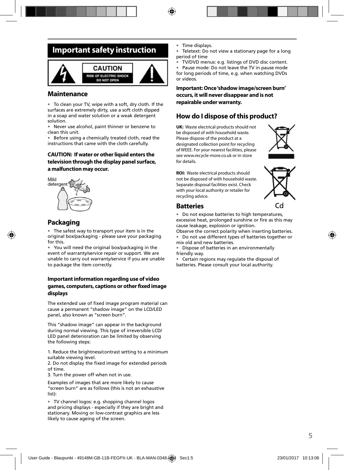## **Important safety instruction**



### **Maintenance**

• To clean your TV, wipe with a soft, dry cloth. If the surfaces are extremely dirty, use a soft cloth dipped in a soap and water solution or a weak detergent solution.

• Never use alcohol, paint thinner or benzene to clean this unit.

• Before using a chemically treated cloth, read the instructions that came with the cloth carefully.

#### **CAUTION: If water or other liquid enters the television through the display panel surface, a malfunction may occur.**



### **Packaging**

• The safest way to transport your item is in the original box/packaging - please save your packaging for this.

• You will need the original box/packaging in the event of warranty/service repair or support. We are unable to carry out warranty/service if you are unable to package the item correctly.

#### **Important information regarding use of video**  games, computers, captions or other fixed image **displays**

The extended use of fixed image program material can cause a permanent "shadow image" on the LCD/LED panel, also known as "screen burn".

This "shadow image" can appear in the background during normal viewing. This type of irreversible LCD/ LED panel deterioration can be limited by observing the following steps:

1. Reduce the brightness/contrast setting to a minimum suitable viewing level.

2. Do not display the fixed image for extended periods of time.

3. Turn the power off when not in use.

Examples of images that are more likely to cause "screen burn" are as follows (this is not an exhaustive list):

• TV channel logos: e.g. shopping channel logos and pricing displays - especially if they are bright and stationary. Moving or low-contrast graphics are less likely to cause ageing of the screen.

Time displays.

Teletext: Do not view a stationary page for a long period of time

• TV/DVD menus: e.g. listings of DVD disc content.

• Pause mode: Do not leave the TV in pause mode for long periods of time, e.g. when watching DVDs or videos.

**Important: Once 'shadow image/screen burn' occurs, it will never disappear and is not repairable under warranty.**

### **How do I dispose of this product?**

**UK:** Waste electrical products should not be disposed of with household waste. Please dispose of the product at a designated collection point for recycling of WEEE. For your nearest facilities, please see www.recycle-more.co.uk or in store for details.



**ROI:** Waste electrical products should not be disposed of with household waste. Separate disposal facilities exist. Check with your local authority or retailer for recycling advice.



### **Batteries**

• Do not expose batteries to high temperatures, excessive heat, prolonged sunshine or fire as this may cause leakage, explosion or ignition.

Observe the correct polarity when inserting batteries.

• Do not use different types of batteries together or mix old and new batteries.

• Dispose of batteries in an environmentally friendly way.

• Certain regions may regulate the disposal of batteries. Please consult your local authority.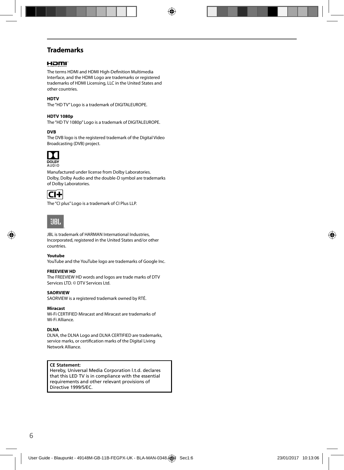## **Trademarks**

### Homi

The terms HDMI and HDMI High-Definition Multimedia Interface, and the HDMI Logo are trademarks or registered trademarks of HDMI Licensing, LLC in the United States and other countries.

#### **HDTV**

The "HD TV" Logo is a trademark of DIGITALEUROPE.

#### **HDTV 1080p**

The "HD TV 1080p" Logo is a trademark of DIGITALEUROPE.

#### **DVB**

The DVB logo is the registered trademark of the Digital Video Broadcasting (DVB) project.



Manufactured under license from Dolby Laboratories. Dolby, Dolby Audio and the double-D symbol are trademarks of Dolby Laboratories.



The "CI plus" Logo is a trademark of CI Plus LLP.



JBL is trademark of HARMAN International Industries, Incorporated, registered in the United States and/or other countries.

#### **Youtube**

YouTube and the YouTube logo are trademarks of Google Inc.

#### **FREEVIEW HD**

The FREEVIEW HD words and logos are trade marks of DTV Services LTD. © DTV Services Ltd.

#### **SAORVIEW**

SAORVIEW is a registered trademark owned by RTÉ.

#### **Miracast**

Wi-Fi CERTIFIED Miracast and Miracast are trademarks of Wi-Fi Alliance.

#### **DLNA**

DLNA, the DLNA Logo and DLNA CERTIFIED are trademarks, service marks, or certification marks of the Digital Living Network Alliance.

#### **CE Statement:**

Hereby, Universal Media Corporation l.t.d. declares that this LED TV is in compliance with the essential requirements and other relevant provisions of Directive 1999/5/EC.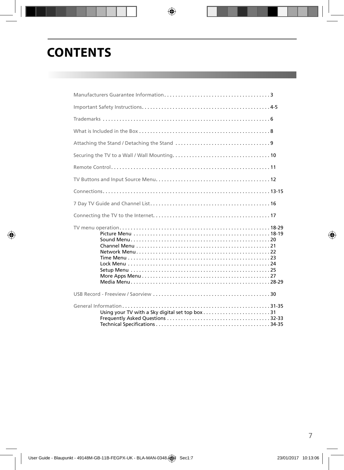# **CONTENTS**

| Using your TV with a Sky digital set top box31 |  |
|------------------------------------------------|--|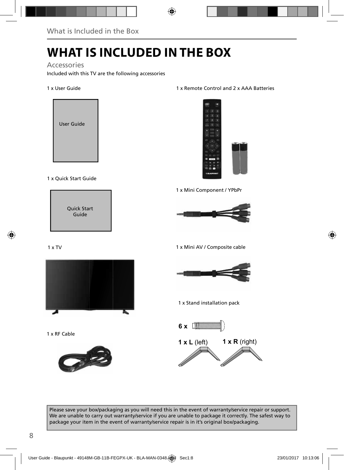# **WHAT IS INCLUDED IN THE BOX**

### Accessories

Included with this TV are the following accessories

#### 1 x User Guide



### 1 x Quick Start Guide



### 1 x TV



1 x RF Cable



#### 1 x Remote Control and 2 x AAA Batteries



1 x Mini Component / YPbPr



1 x Mini AV / Composite cable



1 x Stand installation pack



Please save your box/packaging as you will need this in the event of warranty/service repair or support. We are unable to carry out warranty/service if you are unable to package it correctly. The safest way to package your item in the event of warranty/service repair is in it's original box/packaging.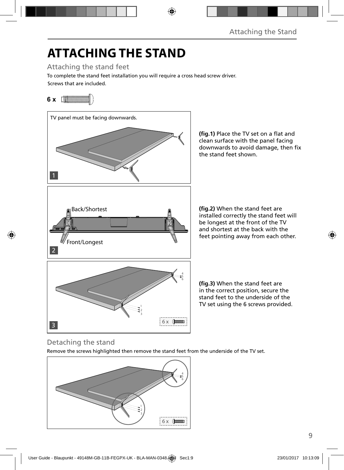# **ATTACHING THE STAND**

Attaching the stand feet

Screws that are included. To complete the stand feet installation you will require a cross head screw driver.

## **6 x** [*MMMMMM*///



(fig.1) Place the TV set on a flat and clean surface with the panel facing downwards to avoid damage, then fix the stand feet shown.

(fig.2) When the stand feet are installed correctly the stand feet will be longest at the front of the TV and shortest at the back with the feet pointing away from each other.

(fig.3) When the stand feet are in the correct position, secure the stand feet to the underside of the TV set using the 6 screws provided.

## Detaching the stand

Remove the screws highlighted then remove the stand feet from the underside of the TV set.

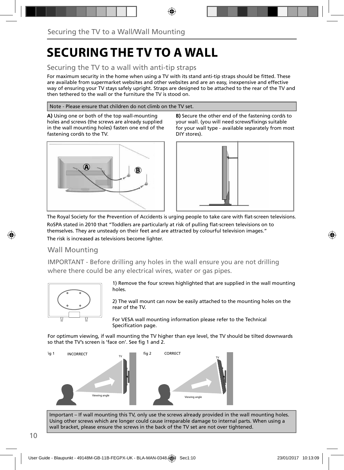# **SECURING THE TV TO A WALL**

## Securing the TV to a wall with anti-tip straps

For maximum security in the home when using a TV with its stand anti-tip straps should be fitted. These are available from supermarket websites and other websites and are an easy, inexpensive and effective way of ensuring your TV stays safely upright. Straps are designed to be attached to the rear of the TV and then tethered to the wall or the furniture the TV is stood on.

#### Note - Please ensure that children do not climb on the TV set.

**A)** Using one or both of the top wall-mounting holes and screws (the screws are already supplied in the wall mounting holes) fasten one end of the fastening cord/s to the TV.



**B)** Secure the other end of the fastening cord/s to your wall. (you will need screws/fixings suitable for your wall type - available separately from most DIY stores).



The Royal Society for the Prevention of Accidents is urging people to take care with flat-screen televisions. RoSPA stated in 2010 that "Toddlers are particularly at risk of pulling flat-screen televisions on to themselves. They are unsteady on their feet and are attracted by colourful television images." The risk is increased as televisions become lighter.

### Wall Mounting

IMPORTANT - Before drilling any holes in the wall ensure you are not drilling where there could be any electrical wires, water or gas pipes.



1) Remove the four screws highlighted that are supplied in the wall mounting holes.

2) The wall mount can now be easily attached to the mounting holes on the rear of the TV.

For VESA wall mounting information please refer to the Technical Specification page.

For optimum viewing, if wall mounting the TV higher than eye level, the TV should be tilted downwards so that the TV's screen is 'face on'. See fig 1 and 2.



Important – If wall mounting this TV, only use the screws already provided in the wall mounting holes. Using other screws which are longer could cause irreparable damage to internal parts. When using a wall bracket, please ensure the screws in the back of the TV set are not over tightened.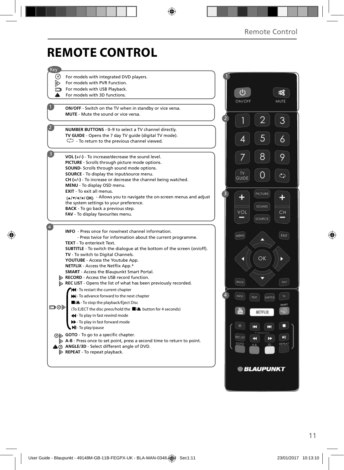# **REMOTE CONTROL**

| Key            |                                                                                                |               |                           |        |
|----------------|------------------------------------------------------------------------------------------------|---------------|---------------------------|--------|
| (∘)            | For models with integrated DVD players.                                                        |               |                           |        |
| ▷              | For models with PVR Function.                                                                  |               |                           |        |
| $\blacksquare$ | For models with USB Playback.                                                                  |               |                           |        |
| A              | For models with 3D functions.                                                                  | $\bigcirc$    |                           |        |
|                |                                                                                                | ON/OFF        |                           | MUTE   |
|                | <b>ON/OFF</b> - Switch on the TV when in standby or vice versa.                                |               |                           |        |
|                | <b>MUTE</b> - Mute the sound or vice versa.                                                    |               |                           |        |
|                |                                                                                                |               | ╱                         | 3      |
|                | NUMBER BUTTONS - 0-9 to select a TV channel directly.                                          |               |                           |        |
|                | TV GUIDE - Opens the 7 day TV guide (digital TV mode).                                         |               | 5                         |        |
|                | $\mathbb{C}$ - To return to the previous channel viewed.                                       | 4             |                           | 6      |
|                |                                                                                                |               |                           |        |
|                | VOL (+/-) - To increase/decrease the sound level.                                              |               | 8                         | 9      |
|                | PICTURE - Scrolls through picture mode options.                                                |               |                           |        |
|                | <b>SOUND-</b> Scrolls through sound mode options.                                              | <b>TV</b>     |                           |        |
|                | <b>SOURCE</b> - To display the input/source menu.                                              | <b>GUIDE</b>  |                           | ¢      |
|                | $CH (+/-)$ - To increase or decrease the channel being watched.<br>MENU - To display OSD menu. |               |                           |        |
|                | EXIT - To exit all menus.                                                                      |               |                           |        |
|                | (A/V/4/)/OK) - Allows you to navigate the on-screen menus and adjust                           |               | <b>PICTURE</b>            |        |
|                | the system settings to your preference.                                                        |               |                           |        |
|                | <b>BACK</b> - To go back a previous step.                                                      |               | SOUND                     |        |
|                | FAV - To display favourites menu.                                                              | VOL           |                           | CН     |
|                |                                                                                                |               | SOURCE                    |        |
|                | <b>INFO</b> - Press once for now/next channel information.                                     |               |                           |        |
|                | - Press twice for information about the current programme.                                     | MENU          | ∽                         | EXIT   |
|                | <b>TEXT</b> - To enter/exit Text.                                                              |               |                           |        |
|                | <b>SUBTITLE</b> - To switch the dialogue at the bottom of the screen (on/off).                 |               |                           |        |
|                | TV - To switch to Digital Channels.                                                            |               | OK                        | Þ      |
|                | YOUTUBE - Access the Youtube App.                                                              |               |                           |        |
|                | NETFLIX - Access the Netflix App.*<br><b>SMART</b> - Access the Blaupunkt Smart Portal.        |               |                           |        |
|                | RECORD - Access the USB record function.                                                       |               |                           |        |
|                | REC LIST - Opens the list of what has been previously recorded.                                | BACK          |                           | FAV    |
|                | Hel-To restart the current chapter                                                             |               |                           |        |
|                | >> - To advance forward to the next chapter                                                    | INFO          | TEXT<br><b>SUBTITLE</b>   | TV     |
|                | ■/▲- To stop the playback/Eject Disc                                                           |               |                           |        |
| ⊡⊙⊳            | (To EJECT the disc press/hold the ■/▲ button for 4 seconds)                                    |               |                           | SMART  |
|                | 44 - To play in fast rewind mode                                                               |               | NETFLIX                   |        |
|                | > - To play in fast forward mode                                                               |               |                           |        |
|                | MI-To play/pause                                                                               |               | н<br>ы                    |        |
|                | ⊙ <b>b</b> GOTO - To go to a specific chapter.                                                 |               |                           |        |
|                | $\triangleright$ A-B - Press once to set point, press a second time to return to point.        | <b>RECUST</b> | $\blacktriangleleft$<br>D | ыı     |
|                | A @ ANGLE/3D - Select different angle of DVD.                                                  | GOTO          | 3D<br>A-B                 | REPEAT |
|                | $\triangleright$ <b>REPEAT</b> - To repeat playback.                                           |               |                           |        |
|                |                                                                                                |               |                           |        |
|                |                                                                                                |               | <b>© BLAUPUNKT</b>        |        |
|                |                                                                                                |               |                           |        |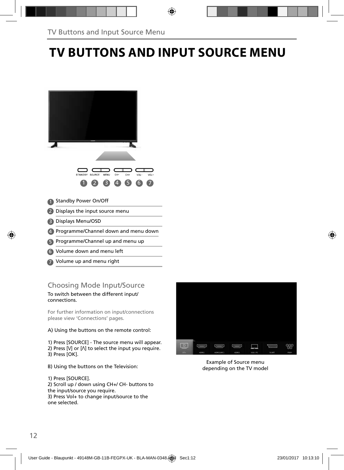# **TV BUTTONS AND INPUT SOURCE MENU**



Volume up and menu right 7

## Choosing Mode Input/Source

To switch between the different input/ connections.

For further information on input/connections please view 'Connections' pages.

#### A) Using the buttons on the remote control:

1) Press [SOURCE] - The source menu will appear. 2) Press  $[V]$  or  $[\Lambda]$  to select the input you require. 3) Press [OK].

B) Using the buttons on the Television:

1) Press [SOURCE].

2) Scroll up / down using CH+/ CH- buttons to the input/source you require. 3) Press Vol+ to change input/source to the one selected.



Example of Source menu depending on the TV model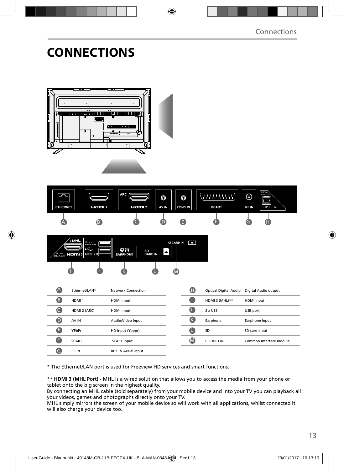# **CONNECTIONS**







| $\overline{\mathbb{A}}$ | Fthernet/LAN*     | Network Connection          | Œ  |                | Optical Digital Audio Digital Audio output |
|-------------------------|-------------------|-----------------------------|----|----------------|--------------------------------------------|
| ß                       | HDMI <sub>1</sub> | <b>HDMI</b> input           | O  | HDMI 3 (MHL)** | <b>HDMI</b> input                          |
|                         | HDMI 2 (ARC)      | <b>HDMI</b> input           | O  | $2 \times$ USB | USB port                                   |
| $\mathbf \Theta$        | AV IN             | Audio/Video Input           | (K | Earphone       | Earphone Input                             |
| ê                       | YPbPr             | HD input (Ypbpr)            |    | SD             | SD card input                              |
| Æ                       | <b>SCART</b>      | <b>SCART</b> input          | M  | CI CARD IN     | Common Interface module                    |
| G                       | RF IN             | <b>RF / TV Aerial Input</b> |    |                |                                            |

\* The Ethernet/LAN port is used for Freeview HD services and smart functions.

\*\* **HDMI 3 (MHL Port) -** MHL is a wired solution that allows you to access the media from your phone or tablet onto the big screen in the highest quality.

By connecting an MHL cable (sold separately) from your mobile device and into your TV you can playback all your videos, games and photographs directly onto your TV.

MHL simply mirrors the screen of your mobile device so will work with all applications, whilst connected it will also charge your device too.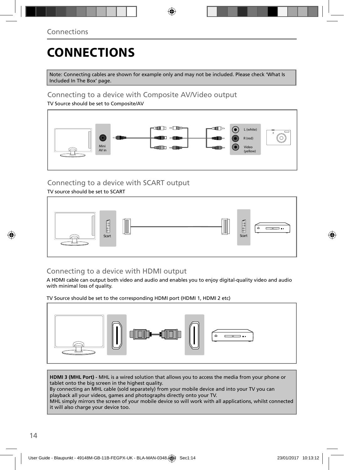# **CONNECTIONS**

Note: Connecting cables are shown for example only and may not be included. Please check 'What Is Included In The Box' page.

### Connecting to a device with Composite AV/Video output

TV Source should be set to Composite/AV



## Connecting to a device with SCART output

### TV source should be set to SCART



## Connecting to a device with HDMI output

A HDMI cable can output both video and audio and enables you to enjoy digital-quality video and audio with minimal loss of quality.

TV Source should be set to the corresponding HDMI port (HDMI 1, HDMI 2 etc)



**HDMI 3 (MHL Port) -** MHL is a wired solution that allows you to access the media from your phone or tablet onto the big screen in the highest quality.

By connecting an MHL cable (sold separately) from your mobile device and into your TV you can playback all your videos, games and photographs directly onto your TV.

MHL simply mirrors the screen of your mobile device so will work with all applications, whilst connected it will also charge your device too.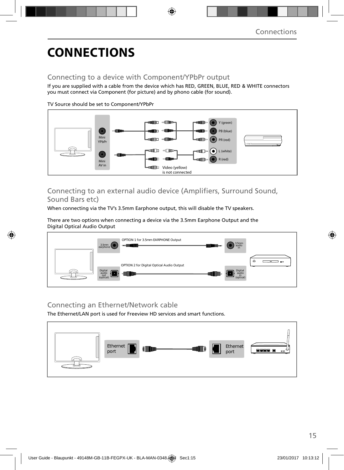# **CONNECTIONS**

### Connecting to a device with Component/YPbPr output

If you are supplied with a cable from the device which has RED, GREEN, BLUE, RED & WHITE connectors you must connect via Component (for picture) and by phono cable (for sound).

TV Source should be set to Component/YPbPr



## Connecting to an external audio device (Amplifiers, Surround Sound, Sound Bars etc)

When connecting via the TV's 3.5mm Earphone output, this will disable the TV speakers.

There are two options when connecting a device via the 3.5mm Earphone Output and the Digital Optical Audio Output



### Connecting an Ethernet/Network cable

The Ethernet/LAN port is used for Freeview HD services and smart functions.

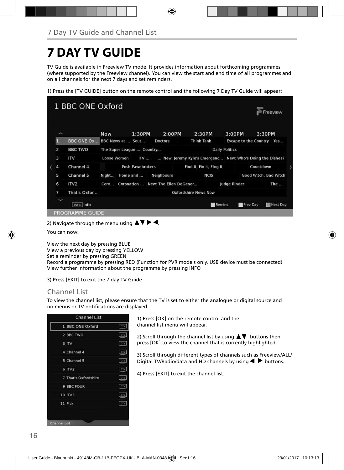# **7 DAY TV GUIDE**

TV Guide is available in Freeview TV mode. It provides information about forthcoming programmes (where supported by the Freeview channel). You can view the start and end time of all programmes and on all channels for the next 7 days and set reminders.

1) Press the [TV GUIDE] button on the remote control and the following 7 Day TV Guide will appear:



2) Navigate through the menu using  $\blacktriangle \blacktriangledown \blacktriangleright \blacktriangleleft$ .

You can now:

View the next day by pressing BLUE View a previous day by pressing YELLOW Set a reminder by pressing GREEN Record a programme by pressing RED (Function for PVR models only, USB device must be connected) View further information about the programme by pressing INFO

3) Press [EXIT] to exit the 7 day TV Guide

### Channel List

To view the channel list, please ensure that the TV is set to either the analogue or digital source and no menus or TV notifications are displayed.

| 1 BBC ONE Oxford     | oty        |
|----------------------|------------|
| 2 BBC TWO            | DTV        |
| 3 ITV                | ory        |
| 4 Channel 4          | DIV.       |
| 5 Channel 5          | prv        |
| 6 ITV2               | DTV        |
| 7 That's Oxfordshire | OTV        |
| 9 BBC FOUR           | <b>DTV</b> |
| 10 ITV3              | DIV        |
| 11 Pick              | DTV        |

1) Press [OK] on the remote control and the channel list menu will appear.

2) Scroll through the channel list by using  $\blacktriangle \blacktriangledown$  buttons then press [OK] to view the channel that is currently highlighted.

3) Scroll through different types of channels such as Freeview/ALL/ Digital TV/Radio/data and HD channels by using  $\blacklozenge \blacktriangleright$  buttons.

4) Press [EXIT] to exit the channel list.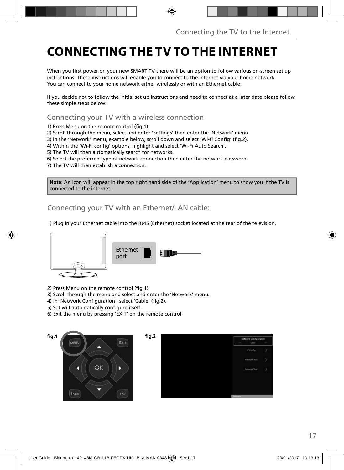# **CONNECTING THE TV TO THE INTERNET**

When you first power on your new SMART TV there will be an option to follow various on-screen set up instructions. These instructions will enable you to connect to the internet via your home network. You can connect to your home network either wirelessly or with an Ethernet cable.

If you decide not to follow the initial set up instructions and need to connect at a later date please follow these simple steps below:

Connecting your TV with a wireless connection

1) Press Menu on the remote control (fig.1).

2) Scroll through the menu, select and enter 'Settings' then enter the 'Network' menu.

3) in the 'Network' menu, example below, scroll down and select 'Wi-fi Config' (fig.2).

4) Within the 'Wi-Fi config' options, highlight and select 'Wi-Fi Auto Search'.

5) The TV will then automatically search for networks.

6) Select the preferred type of network connection then enter the network password.

7) The TV will then establish a connection.

**Note:** An icon will appear in the top right hand side of the 'Application' menu to show you if the TV is connected to the internet.

Connecting your TV with an Ethernet/LAN cable:

1) Plug in your Ethernet cable into the RJ45 (Ethernet) socket located at the rear of the television.



2) Press Menu on the remote control (fig.1).

3) Scroll through the menu and select and enter the 'Network' menu.

- 4) In 'Network Configuration', select 'Cable' (fig.2).
- 5) Set will automatically configure itself.
- 6) Exit the menu by pressing 'EXIT' on the remote control.



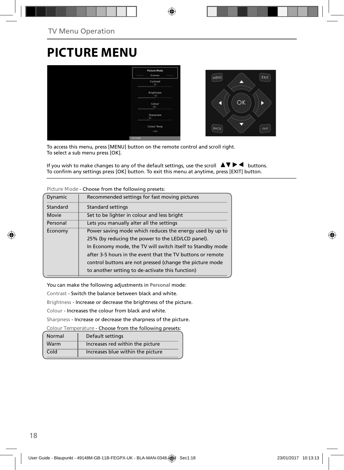# **PICTURE MENU**



To access this menu, press [MENU] button on the remote control and scroll right. To select a sub menu press [OK].

If you wish to make changes to any of the default settings, use the scroll  $\blacktriangle \blacktriangledown \blacktriangleright \blacktriangleleft$  buttons. To confirm any settings press [OK] button. To exit this menu at anytime, press [EXIT] button.

| Dynamic  | Recommended settings for fast moving pictures              |
|----------|------------------------------------------------------------|
| Standard | <b>Standard settings</b>                                   |
| Movie    | Set to be lighter in colour and less bright                |
| Personal | Lets you manually alter all the settings                   |
| Economy  | Power saving mode which reduces the energy used by up to   |
|          | 25% (by reducing the power to the LED/LCD panel).          |
|          | In Economy mode, the TV will switch itself to Standby mode |
|          | after 3-5 hours in the event that the TV buttons or remote |
|          | control buttons are not pressed (change the picture mode   |
|          | to another setting to de-activate this function)           |

**Picture Mode** - Choose from the following presets:

You can make the following adjustments in **Personal** mode:

Contrast - Switch the balance between black and white.

Brightness - Increase or decrease the brightness of the picture.

Colour - Increases the colour from black and white.

Sharpness - Increase or decrease the sharpness of the picture.

**Colour Temperature** - Choose from the following presets:

| Normal | Default settings                  |
|--------|-----------------------------------|
| Warm   | Increases red within the picture  |
| Cold   | Increases blue within the picture |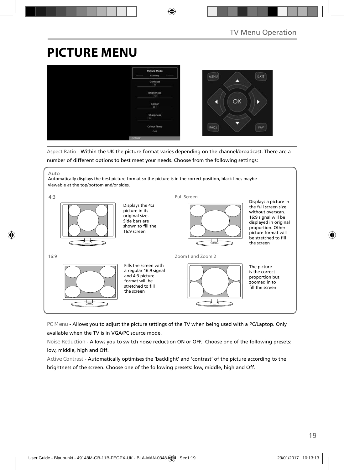# **PICTURE MENU**



Aspect Ratio - Within the UK the picture format varies depending on the channel/broadcast. There are a number of different options to best meet your needs. Choose from the following settings:

Auto

Automatically displays the best picture format so the picture is in the correct position, black lines maybe viewable at the top/bottom and/or sides.



**PC Menu** - Allows you to adjust the picture settings of the TV when being used with a PC/Laptop. Only available when the TV is in VGA/PC source mode.

**Noise Reduction** - Allows you to switch noise reduction ON or OFF. Choose one of the following presets: low, middle, high and Off.

**Active Contrast** - Automatically optimises the 'backlight' and 'contrast' of the picture according to the brightness of the screen. Choose one of the following presets: low, middle, high and Off.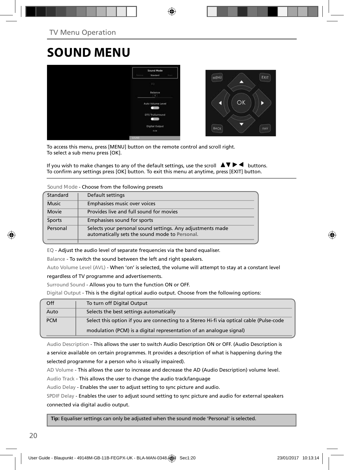# **SOUND MENU**



To access this menu, press [MENU] button on the remote control and scroll right. To select a sub menu press [OK].

If you wish to make changes to any of the default settings, use the scroll  $\Box \blacktriangledown \blacktriangleright \blacktriangleleft$  buttons. To confirm any settings press [OK] button. To exit this menu at anytime, press [EXIT] button.

**Sound Mode** - Choose from the following presets

| Standard     | Default settings                                                                                             |
|--------------|--------------------------------------------------------------------------------------------------------------|
| <b>Music</b> | Emphasises music over voices                                                                                 |
| Movie        | Provides live and full sound for movies                                                                      |
| Sports       | Emphasises sound for sports                                                                                  |
| Personal     | Selects your personal sound settings. Any adjustments made<br>automatically sets the sound mode to Personal. |

EQ - Adjust the audio level of separate frequencies via the band equaliser.

Balance - To switch the sound between the left and right speakers.

Auto Volume Level (AVL) - When 'on' is selected, the volume will attempt to stay at a constant level regardless of TV programme and advertisements.

Surround Sound - Allows you to turn the function ON or OFF.

Digital Output - This is the digital optical audio output. Choose from the following options:

| Off        | To turn off Digital Output                                                               |
|------------|------------------------------------------------------------------------------------------|
| Auto       | Selects the best settings automatically                                                  |
| <b>PCM</b> | Select this option if you are connecting to a Stereo Hi-fi via optical cable (Pulse-code |
|            | modulation (PCM) is a digital representation of an analogue signal)                      |

Audio Description - This allows the user to switch Audio Description ON or OFF. (Audio Description is a service available on certain programmes. It provides a description of what is happening during the selected programme for a person who is visually impaired).

AD Volume - This allows the user to increase and decrease the AD (Audio Description) volume level.

Audio Track - This allows the user to change the audio track/language

Audio Delay - Enables the user to adjust setting to sync picture and audio.

SPDIF Delay - Enables the user to adjust sound setting to sync picture and audio for external speakers connected via digital audio output.

 **Tip:** Equaliser settings can only be adjusted when the sound mode 'Personal' is selected.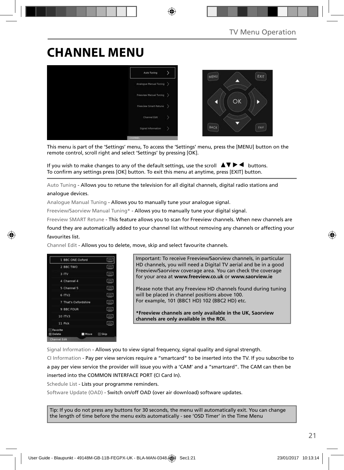# **CHANNEL MENU**



This menu is part of the 'Settings' menu, To access the 'Settings' menu, press the [MENU] button on the remote control, scroll right and select 'Settings' by pressing [OK].

If you wish to make changes to any of the default settings, use the scroll  $\blacktriangle \blacktriangledown \blacktriangleright \blacktriangleleft$  buttons. To confirm any settings press [OK] button. To exit this menu at anytime, press [EXIT] button.

Auto Tuning - Allows you to retune the television for all digital channels, digital radio stations and analogue devices.

Analogue Manual Tuning - Allows you to manually tune your analogue signal.

Freeview/Saorview Manual Tuning\* - Allows you to manually tune your digital signal.

Freeview SMART Retune - This feature allows you to scan for Freeview channels. When new channels are

found they are automatically added to your channel list without removing any channels or affecting your favourites list.

Channel Edit - Allows you to delete, move, skip and select favourite channels.

|                    | 1 BBC ONE Oxford     | oty.        |
|--------------------|----------------------|-------------|
| 2 BBC TWO          |                      | orv         |
| 3 ITV              |                      | <b>CITY</b> |
| 4 Channel 4        |                      | DIV.        |
| 5 Channel 5        |                      | <b>DIV</b>  |
| 6 ITV2             |                      | orv         |
|                    | 7 That's Oxfordshire | otv         |
| 9 BBC FOUR         |                      | ory:        |
| 10 ITV3            |                      | <b>DIV</b>  |
| 11 Pick            |                      | oty:        |
| Favorite<br>Delete | Move                 | Skip        |
| Channel Edit       |                      |             |

Important: To receive Freeview/Saorview channels, in particular HD channels, you will need a Digital TV aerial and be in a good Freeview/Saorview coverage area. You can check the coverage for your area at **www.freeview.co.uk** or **www.saorview.ie**

Please note that any Freeview HD channels found during tuning will be placed in channel positions above 100. For example, 101 (BBC1 HD) 102 (BBC2 HD) etc.

**\*Freeview channels are only available in the UK, Saorview channels are only available in the ROI.**

Signal Information - Allows you to view signal frequency, signal quality and signal strength.

CI Information - Pay per view services require a "smartcard" to be inserted into the TV. If you subscribe to a pay per view service the provider will issue you with a 'CAM' and a "smartcard". The CAM can then be inserted into the COMMON INTERFACE PORT (CI Card In).

Schedule List - Lists your programme reminders.

Software Update (OAD) - Switch on/off OAD (over air download) software updates.

Tip: If you do not press any buttons for 30 seconds, the menu will automatically exit. You can change the length of time before the menu exits automatically - see 'OSD Timer' in the Time Menu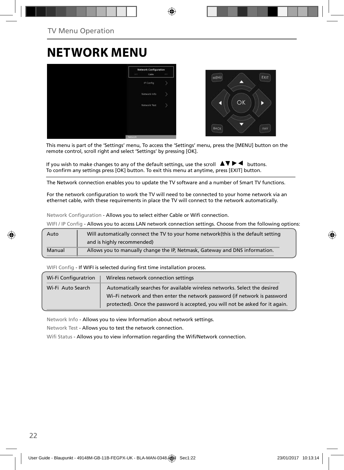# **NETWORK MENU**



This menu is part of the 'Settings' menu, To access the 'Settings' menu, press the [MENU] button on the remote control, scroll right and select 'Settings' by pressing [OK].

If you wish to make changes to any of the default settings, use the scroll  $\blacktriangle \blacktriangledown \blacktriangleright \blacktriangleleft$  buttons. To confirm any settings press [OK] button. To exit this menu at anytime, press [EXIT] button.

The Network connection enables you to update the TV software and a number of Smart TV functions.

For the network configuration to work the TV will need to be connected to your home network via an ethernet cable, with these requirements in place the TV will connect to the network automatically.

Network Configuration - Allows you to select either Cable or Wifi connection.

WIFI / IP Config - Allows you to access LAN network connection settings. Choose from the following options:

| Auto   | Will automatically connect the TV to your home network(this is the default setting |
|--------|------------------------------------------------------------------------------------|
|        | and is highly recommended)                                                         |
| Manual | Allows you to manually change the IP, Netmask, Gateway and DNS information.        |

WIFI Config - If WIFI is selected during first time installation process.

| Wi-Fi Configuratrion                                                                            | Wireless network connection settings                                           |
|-------------------------------------------------------------------------------------------------|--------------------------------------------------------------------------------|
| Automatically searches for available wireless networks. Select the desired<br>Wi-Fi Auto Search |                                                                                |
|                                                                                                 | Wi-Fi network and then enter the network password (if network is password      |
|                                                                                                 | protected). Once the password is accepted, you will not be asked for it again. |

Network Info - Allows you to view Information about network settings.

Network Test - Allows you to test the network connection.

Wifi Status - Allows you to view information regarding the Wifi/Network connection.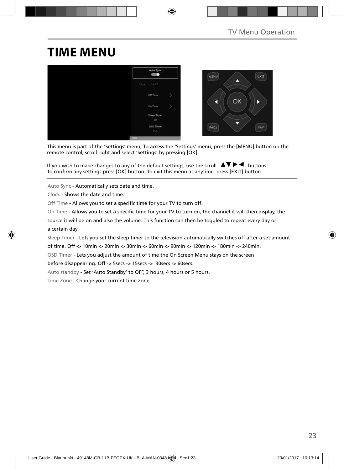## **TIME MENU**



This menu is part of the 'Settings' menu, To access the 'Settings' menu, press the [MENU] button on the remote control, scroll right and select 'Settings' by pressing [OK].

If you wish to make changes to any of the default settings, use the scroll  $\Box \blacktriangledown \blacktriangleright \blacktriangleleft$  buttons. To confirm any settings press [OK] button. To exit this menu at anytime, press [EXIT] button.

Auto Sync - Automatically sets date and time.

Clock - Shows the date and time.

Off Time - Allows you to set a specific time for your TV to turn off.

On Time - Allows you to set a specific time for your TV to turn on, the channel it will then display, the

source it will be on and also the volume. This function can then be toggled to repeat every day or a certain day.

Sleep Timer - Lets you set the sleep timer so the television automatically switches off after a set amount

of time. Off -> 10min -> 20min -> 30min -> 60min -> 90min -> 120min -> 180min -> 240min.

OSD Timer - Lets you adjust the amount of time the On Screen Menu stays on the screen

before disappearing. Off -> 5secs -> 15secs -> 30secs -> 60secs.

Auto standby - Set 'Auto Standby' to OFF, 3 hours, 4 hours or 5 hours.

Time Zone - Change your current time zone.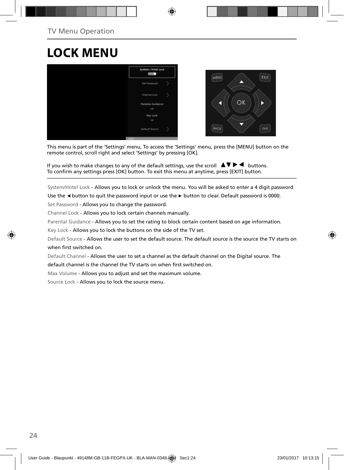# **LOCK MENU**



This menu is part of the 'Settings' menu, To access the 'Settings' menu, press the [MENU] button on the remote control, scroll right and select 'Settings' by pressing [OK].

If you wish to make changes to any of the default settings, use the scroll  $\Delta \nabla \blacktriangleright$   $\blacktriangleleft$  buttons. To confirm any settings press [OK] button. To exit this menu at anytime, press [EXIT] button.

System/Hotel Lock - Allows you to lock or unlock the menu. You will be asked to enter a 4 digit password

Use the **◄** button to quit the password input or use the **►** button to clear. Default password is 0000.

Set Password - Allows you to change the password.

Channel Lock - Allows you to lock certain channels manually.

Parental Guidance - Allows you to set the rating to block certain content based on age information.

Key Lock - Allows you to lock the buttons on the side of the TV set.

Default Source - Allows the user to set the default source. The default source is the source the TV starts on when first switched on.

Default Channel - Allows the user to set a channel as the default channel on the Digital source. The default channel is the channel the TV starts on when first switched on.

Max Volume - Allows you to adjust and set the maximum volume.

Source Lock - Allows you to lock the source menu.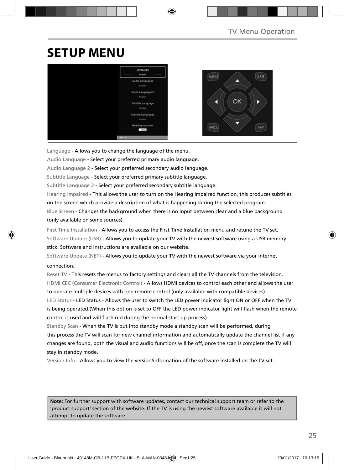# **SETUP MENU**



Language - Allows you to change the language of the menu.

Audio Language - Select your preferred primary audio language.

Audio Language 2 - Select your preferred secondary audio language.

Subtitle Language - Select your preferred primary subtitle language.

Subtitle Language 2 - Select your preferred secondary subtitle language.

Hearing Impaired - This allows the user to turn on the Hearing Impaired function, this produces subtitles on the screen which provide a description of what is happening during the selected program. Blue Screen - Changes the background when there is no input between clear and a blue background

(only available on some sources).

First Time Installation - Allows you to access the First Time Installation menu and retune the TV set. Software Update (USB) - Allows you to update your TV with the newest software using a USB memory stick. Software and instructions are available on our website.

Software Update (NET) - Allows you to update your TV with the newest software via your internet connection.

Reset TV - This resets the menus to factory settings and clears all the TV channels from the television. HDMI CEC (Consumer Electronic Control) - Allows HDMI devices to control each other and allows the user to operate multiple devices with one remote control (only available with compatible devices).

LED Status - LED Status - Allows the user to switch the LED power indicator light ON or OFF when the TV is being operated.(When this option is set to OFF the LED power indicator light will flash when the remote control is used and will flash red during the normal start up process).

Standby Scan - When the TV is put into standby mode a standby scan will be performed, during this process the TV will scan for new channel information and automatically update the channel list if any changes are found, both the visual and audio functions will be off, once the scan is complete the TV will stay in standby mode.

Version Info - Allows you to view the version/information of the software installed on the TV set.

**Note**: For further support with software updates, contact our technical support team or refer to the 'product support' section of the website. If the TV is using the newest software available it will not attempt to update the software.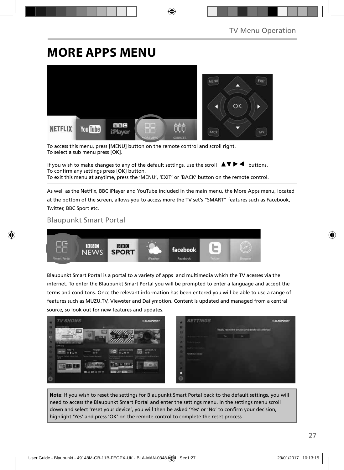# **MORE APPS MENU**



To access this menu, press [MENU] button on the remote control and scroll right. To select a sub menu press [OK].

If you wish to make changes to any of the default settings, use the scroll  $\Box \blacktriangledown \blacktriangleright \blacktriangleleft$  buttons. To confirm any settings press [OK] button. To exit this menu at anytime, press the 'MENU', 'EXIT' or 'BACK' button on the remote control.

As well as the Netflix, BBC iPlayer and YouTube included in the main menu, the More Apps menu, located at the bottom of the screen, allows you to access more the TV set's "SMART" features such as Facebook, Twitter, BBC Sport etc.

### Blaupunkt Smart Portal



Blaupunkt Smart Portal is a portal to a variety of apps and multimedia which the TV acesses via the internet. To enter the Blaupunkt Smart Portal you will be prompted to enter a language and accept the terms and conditons. Once the relevant information has been entered you will be able to use a range of features such as MUZU.TV, Viewster and Dailymotion. Content is updated and managed from a central source, so look out for new features and updates.



**Note**: If you wish to reset the settings for Blaupunkt Smart Portal back to the default settings, you will need to access the Blaupunkt Smart Portal and enter the settings menu. In the settings menu scroll down and select 'reset your device', you will then be asked 'Yes' or 'No' to confirm your decision, highlight 'Yes' and press 'OK' on the remote control to complete the reset process.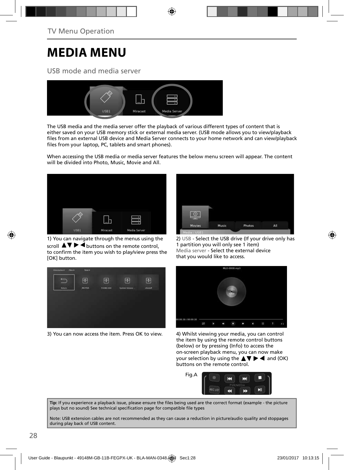# **MEDIA MENU**

### USB mode and media server



The USB media and the media server offer the playback of various different types of content that is either saved on your USB memory stick or external media server. (USB mode allows you to view/playback files from an external USB device and Media Server connects to your home network and can view/playback files from your laptop, PC, tablets and smart phones).

When accessing the USB media or media server features the below menu screen will appear. The content will be divided into Photo, Music, Movie and All.



1) You can navigate through the menus using the scroll  $\triangle \triangledown \triangleright \blacktriangleleft$  buttons on the remote control, to confirm the item you wish to play/view press the [OK] button.



3) You can now access the item. Press OK to view. 4) Whilst viewing your media, you can control



2) USB - Select the USB drive (If your drive only has 1 partition you will only see 1 item) Media server - Select the external device that you would like to access.



the item by using the remote control buttons (below) or by pressing (Info) to access the on-screen playback menu, you can now make your selection by using the  $\triangle \blacktriangledown \blacktriangleright \blacktriangleleft$  and (OK) buttons on the remote control.



Tip: If you experience a playback issue, please ensure the files being used are the correct format (example - the picture plays but no sound) See technical specification page for compatible file types

Note: USB extension cables are not recommended as they can cause a reduction in picture/audio quality and stoppages during play back of USB content.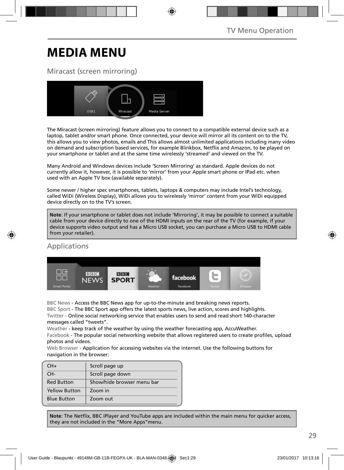# **MEDIA MENU**

## Miracast (screen mirroring)



The Miracast (screen mirroring) feature allows you to connect to a compatible external device such as a laptop, tablet and/or smart phone. Once connected, your device will mirror all its content on to the TV, this allows you to view photos, emails and This allows almost unlimited applications including many video on demand and subscription based services, for example Blinkbox, Netflix and Amazon, to be played on your smartphone or tablet and at the same time wirelessly 'streamed' and viewed on the TV.

Many Android and Windows devices include 'Screen Mirroring' as standard. Apple devices do not currently allow it, however, it is possible to 'mirror' from your Apple smart phone or IPad etc. when used with an Apple TV box (available separately).

Some newer / higher spec smartphones, tablets, laptops & computers may include Intel's technology, called WiDi (Wireless Display), WiDi allows you to wirelessly 'mirror' content from your WiDi equipped device directly on to the TV's screen.

**Note**: If your smartphone or tablet does not include 'Mirroring', it may be possible to connect a suitable cable from your device directly to one of the HDMI inputs on the rear of the TV (for example, if your device supports video output and has a Micro USB socket, you can purchase a Micro USB to HDMI cable from your retailer).

### Applications



BBC News - Access the BBC News app for up-to-the-minute and breaking news reports.

BBC Sport - The BBC Sport app offers the latest sports news, live action, scores and highlights. Twitter - Online social networking service that enables users to send and read short 140-character messages called "tweets".

Weather - keep track of the weather by using the weather forecasting app, AccuWeather.

Facebook - The popular social networking website that allows registered users to create profiles, upload photos and videos.

Web Browser - Application for accessing websites via the internet. Use the following buttons for navigation in the browser:

| $CH+$                | Scroll page up             |
|----------------------|----------------------------|
| CH-                  | Scroll page down           |
| <b>Red Button</b>    | Show/hide browser menu bar |
| <b>Yellow Button</b> | Zoom in                    |
| <b>Blue Button</b>   | Zoom out                   |

Note: The Netflix, BBC iPlayer and YouTube apps are included within the main menu for quicker access, they are not included in the "More Apps"menu.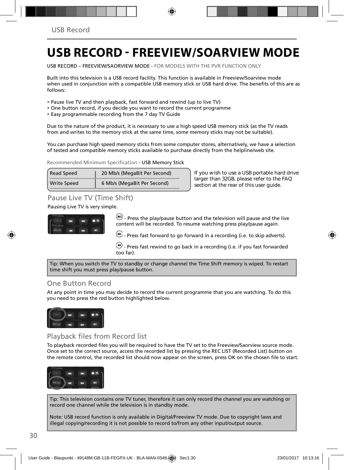## **USB RECORD - FREEVIEW/SOARVIEW MODE**

USB RECORD – FREEVIEW/SAORVIEW MODE - FOR MODELS WITH THE PVR FUNCTION ONLY

Built into this television is a USB record facility. This function is available in Freeview/Soarview mode when used in conjunction with a compatible USB memory stick or USB hard drive. The benefits of this are as follows:

- Pause live TV and then playback, fast forward and rewind (up to live TV)
- One button record, if you decide you want to record the current programme
- Easy programmable recording from the 7 day TV Guide

Due to the nature of the product, it is necessary to use a high speed USB memory stick (as the TV reads from and writes to the memory stick at the same time, some memory sticks may not be suitable).

You can purchase high speed memory sticks from some computer stores, alternatively, we have a selection of tested and compatible memory sticks available to purchase directly from the helpline/web site.

Recommended Minimum Specification - USB Memory Stick

| Read Speed  | 20 Mb/s (MegaBit Per Second) |  |
|-------------|------------------------------|--|
| Write Speed | 6 Mb/s (MegaBit Per Second)  |  |

**If you wish to use a USB portable hard drive larger than 32GB, please refer to the FAQ section at the rear of this user guide.**

### Pause Live TV (Time Shift)

#### Pausing Live TV is very simple.



 $\omega$  - Press the play/pause button and the television will pause and the live content will be recorded. To resume watching press play/pause again.

 $\bigoplus$  - Press fast forward to go forward in a recording (i.e. to skip adverts).

 $\bigcirc$  - Press fast rewind to go back in a recording (i.e. if you fast forwarded too far).

Tip: When you switch the TV to standby or change channel the Time Shift memory is wiped. To restart time shift you must press play/pause button.

### One Button Record

At any point in time you may decide to record the current programme that you are watching. To do this you need to press the red button highlighted below.



### Playback files from Record list

To playback recorded files you will be required to have the TV set to the Freeview/Saorview source mode. Once set to the correct source, access the recorded list by pressing the REC LIST (Recorded List) button on the remote control, the recorded list should now appear on the screen, press OK on the chosen file to start.



Tip: This television contains one TV tuner, therefore it can only record the channel you are watching or record one channel while the television is in standby mode.

Note: USB record function is only available in Digital/Freeview TV mode. Due to copyright laws and illegal copying/recording it is not possible to record to/from any other input/output source.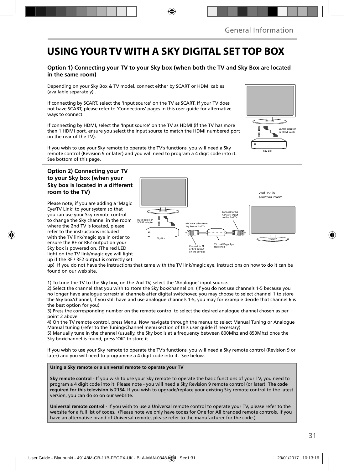## **USING YOUR TV WITH A SKY DIGITAL SET TOP BOX**

### **Option 1) Connecting your TV to your Sky box (when both the TV and Sky Box are located in the same room)**

Depending on your Sky Box & TV model, connect either by SCART or HDMI cables (available separately) .

If connecting by SCART, select the 'Input source' on the TV as SCART. If your TV does not have SCART, please refer to 'Connections' pages in this user guide for alternative ways to connect.

If connecting by HDMI, select the 'Input source' on the TV as HDMI (if the TV has more than 1 HDMI port, ensure you select the input source to match the HDMI numbered port on the rear of the TV).

If you wish to use your Sky remote to operate the TV's functions, you will need a Sky remote control (Revision 9 or later) and you will need to program a 4 digit code into it. See bottom of this page.

### **Option 2) Connecting your TV to your Sky box (when your Sky box is located in a different room to the TV)**

Please note, if you are adding a 'Magic Eye/TV Link' to your system so that you can use your Sky remote control to change the Sky channel in the room where the 2nd TV is located, please refer to the instructions included with the TV link/magic eye in order to ensure the RF or RF2 output on your Sky box is powered on. (The red LED light on the TV link/magic eye will light up if the RF / RF2 output is correctly set



up) If you do not have the instructions that came with the TV link/magic eye, instructions on how to do it can be found on our web site.

1) To tune the TV to the Sky box, on the 2nd TV, select the 'Analogue' input source.

2) Select the channel that you wish to store the Sky box/channel on. (If you do not use channels 1-5 because you no longer have analogue terrestrial channels after digital switchover, you may choose to select channel 1 to store the Sky box/channel, if you still have and use analogue channels 1-5, you may for example decide that channel 6 is the best option for you)

3) Press the corresponding number on the remote control to select the desired analogue channel chosen as per point 2 above.

4) On the TV remote control, press Menu. Now navigate through the menus to select Manual Tuning or Analogue Manual tuning (refer to the Tuning/Channel menu section of this user guide if necessary)

5) Manually tune in the channel (usually, the Sky box is at a frequency between 800Mhz and 850Mhz) once the Sky box/channel is found, press 'OK' to store it.

If you wish to use your Sky remote to operate the TV's functions, you will need a Sky remote control (Revision 9 or later) and you will need to programme a 4 digit code into it. See below.

**Using a Sky remote or a universal remote to operate your TV** 

**Sky remote control** - If you wish to use your Sky remote to operate the basic functions of your TV, you need to program a 4 digit code into it. Please note - you will need a Sky Revision 9 remote control (or later). **The code required for this television is 2134.** If you wish to upgrade/replace your existing Sky remote control to the latest version, you can do so on our website.

**Universal remote control** - If you wish to use a Universal remote control to operate your TV, please refer to the website for a full list of codes. (Please note we only have codes for One for All branded remote controls, if you have an alternative brand of Universal remote, please refer to the manufacturer for the code.)

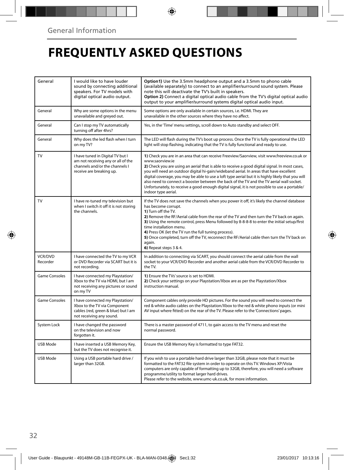# **FREQUENTLY ASKED QUESTIONS**

| General              | I would like to have louder<br>sound by connecting additional<br>speakers. For TV models with<br>digital optical audio output.       | Option1) Use the 3.5mm headphone output and a 3.5mm to phono cable<br>(available separately) to connect to an amplifier/surround sound system. Please<br>note this will deactivate the TV's built in speakers.<br>Option 2) Connect a digital optical audio cable from the TV's digital optical audio<br>output to your amplifier/surround systems digital optical audio input.                                                                                                                                                                                                                                                     |
|----------------------|--------------------------------------------------------------------------------------------------------------------------------------|-------------------------------------------------------------------------------------------------------------------------------------------------------------------------------------------------------------------------------------------------------------------------------------------------------------------------------------------------------------------------------------------------------------------------------------------------------------------------------------------------------------------------------------------------------------------------------------------------------------------------------------|
| General              | Why are some options in the menu<br>unavailable and greyed out.                                                                      | Some options are only available in certain sources, i.e. HDMI. They are<br>unavailable in the other sources where they have no affect.                                                                                                                                                                                                                                                                                                                                                                                                                                                                                              |
| General              | Can I stop my TV automatically<br>turning off after 4hrs?                                                                            | Yes, in the 'Time' menu settings, scroll down to Auto standby and select OFF.                                                                                                                                                                                                                                                                                                                                                                                                                                                                                                                                                       |
| General              | Why does the led flash when I turn<br>on my TV?                                                                                      | The LED will flash during the TV's boot up process. Once the TV is fully operational the LED<br>light will stop flashing, indicating that the TV is fully functional and ready to use.                                                                                                                                                                                                                                                                                                                                                                                                                                              |
| TV                   | I have tuned in Digital TV but I<br>am not receiving any or all of the<br>channels and/or the channels I<br>receive are breaking up. | 1) Check you are in an area that can receive Freeview/Saorview, visit www.freeview.co.uk or<br>www.saorview.ie<br>2) Check you are using an aerial that is able to receive a good digital signal. In most cases,<br>you will need an outdoor digital hi-gain/wideband aerial. In areas that have excellent<br>digital coverage, you may be able to use a loft type aerial but it is highly likely that you will<br>also need to connect a booster between the back of the TV and the TV aerial wall socket.<br>Unfortunately, to receive a good enough digital signal, it is not possible to use a portable/<br>indoor type aerial. |
| <b>TV</b>            | I have re-tuned my television but<br>when I switch it off it is not storing<br>the channels.                                         | If the TV does not save the channels when you power it off, it's likely the channel database<br>has become corrupt.<br>1) Turn off the TV.<br>2) Remove the RF/Aerial cable from the rear of the TV and then turn the TV back on again.<br>3) Using the remote control, press Menu followed by 8-8-8-8 to enter the initial setup/first<br>time installation menu.<br>4) Press OK (let the TV run the full tuning process).<br>5) Once completed, turn off the TV, reconnect the RF/Aerial cable then turn the TV back on<br>again.<br>6) Repeat steps 3 & 4.                                                                       |
| VCR/DVD<br>Recorder  | I have connected the TV to my VCR<br>or DVD Recorder via SCART but it is<br>not recordina.                                           | In addition to connecting via SCART, you should connect the aerial cable from the wall<br>socket to your VCR/DVD Recorder and another aerial cable from the VCR/DVD Recorder to<br>the TV.                                                                                                                                                                                                                                                                                                                                                                                                                                          |
| <b>Game Consoles</b> | I have connected my Playstation/<br>Xbox to the TV via HDMI, but I am<br>not receiving any pictures or sound<br>on my TV             | 1) Ensure the TVs' source is set to HDMI.<br>2) Check your settings on your Playstation/Xbox are as per the Playstation/Xbox<br>instruction manual.                                                                                                                                                                                                                                                                                                                                                                                                                                                                                 |
| <b>Game Consoles</b> | I have connected my Playstation/<br>Xbox to the TV via Component<br>cables (red, green & blue) but I am<br>not receiving any sound.  | Component cables only provide HD pictures. For the sound you will need to connect the<br>red & white audio cables on the Playstation/Xbox to the red & white phono inputs (or mini<br>AV input where fitted) on the rear of the TV. Please refer to the 'Connections' pages.                                                                                                                                                                                                                                                                                                                                                        |
| System Lock          | I have changed the password<br>on the television and now<br>forgotten it.                                                            | There is a master password of 4711, to gain access to the TV menu and reset the<br>normal password.                                                                                                                                                                                                                                                                                                                                                                                                                                                                                                                                 |
| USB Mode             | I have inserted a USB Memory Key,<br>but the TV does not recognise it.                                                               | Ensure the USB Memory Key is formatted to type FAT32.                                                                                                                                                                                                                                                                                                                                                                                                                                                                                                                                                                               |
| USB Mode             | Using a USB portable hard drive /<br>larger than 32GB.                                                                               | If you wish to use a portable hard drive larger than 32GB, please note that it must be<br>formatted to the FAT32 file system in order to operate on this TV. Windows XP/Vista<br>computers are only capable of formatting up to 32GB, therefore, you will need a software<br>programme/utility to format larger hard drives.<br>Please refer to the website, www.umc-uk.co.uk, for more information.                                                                                                                                                                                                                                |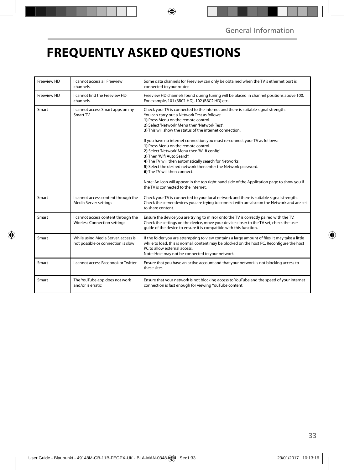# **FREQUENTLY ASKED QUESTIONS**

| Freeview HD | I cannot access all Freeview<br>channels.                                  | Some data channels for Freeview can only be obtained when the TV's ethernet port is<br>connected to your router.                                                                                                                                                                                                                                                                                                                                                                                                                                                                                                                                                                                                                                                                                |  |  |
|-------------|----------------------------------------------------------------------------|-------------------------------------------------------------------------------------------------------------------------------------------------------------------------------------------------------------------------------------------------------------------------------------------------------------------------------------------------------------------------------------------------------------------------------------------------------------------------------------------------------------------------------------------------------------------------------------------------------------------------------------------------------------------------------------------------------------------------------------------------------------------------------------------------|--|--|
| Freeview HD | I cannot find the Freeview HD<br>channels.                                 | Freeview HD channels found during tuning will be placed in channel positions above 100.<br>For example, 101 (BBC1 HD), 102 (BBC2 HD) etc.                                                                                                                                                                                                                                                                                                                                                                                                                                                                                                                                                                                                                                                       |  |  |
| Smart       | I cannot access Smart apps on my<br>Smart TV.                              | Check your TV is connected to the internet and there is suitable signal strength.<br>You can carry out a Network Test as follows:<br>1) Press Menu on the remote control.<br>2) Select 'Network' Menu then 'Network Test'.<br>3) This will show the status of the internet connection.<br>If you have no internet connection you must re-connect your TV as follows:<br>1) Press Menu on the remote control.<br>2) Select 'Network' Menu then 'Wi-fi config'.<br>3) Then 'Wifi Auto Search'.<br>4) The TV will then automatically search for Networks.<br>5) Select the desired network then enter the Network password.<br>6) The TV will then connect.<br>Note: An icon will appear in the top right hand side of the Application page to show you if<br>the TV is connected to the internet. |  |  |
| Smart       | I cannot access content through the<br>Media Server settings               | Check your TV is connected to your local network and there is suitable signal strength.<br>Check the server devices you are trying to connect with are also on the Network and are set<br>to share content.                                                                                                                                                                                                                                                                                                                                                                                                                                                                                                                                                                                     |  |  |
| Smart       | I cannot access content through the<br><b>Wireless Connection settings</b> | Ensure the device you are trying to mirror onto the TV is correctly paired with the TV.<br>Check the settings on the device, move your device closer to the TV set, check the user<br>guide of the device to ensure it is compatible with this function.                                                                                                                                                                                                                                                                                                                                                                                                                                                                                                                                        |  |  |
| Smart       | While using Media Server, access is<br>not possible or connection is slow  | If the folder you are attempting to view contains a large amount of files, it may take a little<br>while to load, this is normal, content may be blocked on the host PC. Reconfigure the host<br>PC to allow external access.<br>Note: Host may not be connected to your network.                                                                                                                                                                                                                                                                                                                                                                                                                                                                                                               |  |  |
| Smart       | I cannot access Facebook or Twitter                                        | Ensure that you have an active account and that your network is not blocking access to<br>these sites.                                                                                                                                                                                                                                                                                                                                                                                                                                                                                                                                                                                                                                                                                          |  |  |
| Smart       | The YouTube app does not work<br>and/or is erratic                         | Ensure that your network is not blocking access to YouTube and the speed of your internet<br>connection is fast enough for viewing YouTube content.                                                                                                                                                                                                                                                                                                                                                                                                                                                                                                                                                                                                                                             |  |  |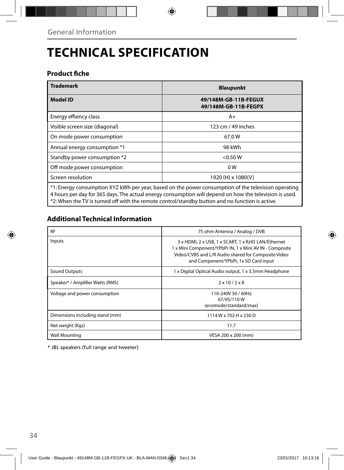# **TECHNICAL SPECIFICATION**

### **Product fiche**

| <b>Trademark</b>                                                                                                                                                                                              | <b>Blaupunkt</b>                             |  |  |
|---------------------------------------------------------------------------------------------------------------------------------------------------------------------------------------------------------------|----------------------------------------------|--|--|
| <b>Model ID</b>                                                                                                                                                                                               | 49/148M-GB-11B-FEGUX<br>49/148M-GB-11B-FEGPX |  |  |
| Energy effiency class                                                                                                                                                                                         | $A+$                                         |  |  |
| Visible screen size (diagonal)                                                                                                                                                                                | 123 cm / 49 inches                           |  |  |
| On mode power consumption                                                                                                                                                                                     | 67.0W                                        |  |  |
| Annual energy consumption *1                                                                                                                                                                                  | 98 kWh                                       |  |  |
| Standby power consumption *2                                                                                                                                                                                  | < 0.50 W                                     |  |  |
| Off mode power consumption                                                                                                                                                                                    | 0 <sub>W</sub>                               |  |  |
| Screen resolution                                                                                                                                                                                             | 1920 (H) x 1080(V)                           |  |  |
| *1: Energy consumption XYZ kWh per year, based on the power consumption of the television operating<br>4 hours per day for 365 days. The actual energy consumption will depend on how the television is used. |                                              |  |  |

\*2: When the TV is turned off with the remote control/standby button and no function is active.

## **Additional Technical Information**

| <b>RF</b>                        | 75 ohm Antenna / Analog / DVB                                                                                                                                                                                  |
|----------------------------------|----------------------------------------------------------------------------------------------------------------------------------------------------------------------------------------------------------------|
| Inputs                           | 3 x HDMI, 2 x USB, 1 x SCART, 1 x RJ45 LAN/Ethernet<br>1 x Mini Component/YPbPr IN, 1 x Mini AV IN - Composite<br>Video/CVBS and L/R Audio shared for Composite Video<br>and Component/YPbPr, 1x SD Card input |
| Sound Outputs                    | 1 x Digital Optical Audio output, 1 x 3.5mm Headphone                                                                                                                                                          |
| Speaker* / Amplifier Watts (RMS) | $2 \times 10 / 2 \times 8$                                                                                                                                                                                     |
| Voltage and power consumption    | 110-240V 50 / 60Hz<br>67/95/110W<br>(ecomode/standard/max)                                                                                                                                                     |
| Dimensions including stand (mm)  | 1114 W x 702 H x 230 D                                                                                                                                                                                         |
| Net weight (Kgs)                 | 11.7                                                                                                                                                                                                           |
| <b>Wall Mounting</b>             | VESA 200 x 200 (mm)                                                                                                                                                                                            |

\* JBL speakers (full range and tweeter)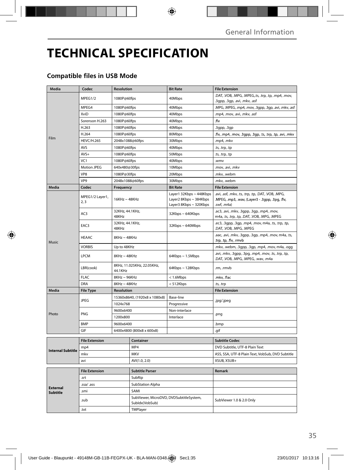# **TECHNICAL SPECIFICATION**

## **Compatible files in USB Mode**

| Media                       | Codec                              | Resolution                            |                                                           | <b>Bit Rate</b>                                                             | <b>File Extension</b>                                                                                                 |
|-----------------------------|------------------------------------|---------------------------------------|-----------------------------------------------------------|-----------------------------------------------------------------------------|-----------------------------------------------------------------------------------------------------------------------|
|                             | MPEG1/2                            | 1080P@60fps                           |                                                           | 40Mbps                                                                      | .DAT, .VOB, .MPG, .MPEG,.ts, .trp, .tp, .mp4, .mov,<br>.3gpp, .3gp, .avi, .mkv, .asf                                  |
|                             | MPEG4                              | 1080P@60fps                           |                                                           | 40Mbps                                                                      | .MPG, .MPEG, .mp4, .mov, .3gpp, .3gp, .avi, .mkv, .asf                                                                |
|                             | XviD                               | 1080P@60fps                           |                                                           | 40Mbps                                                                      | .mp4, .mov, .avi, .mkv, .asf                                                                                          |
|                             | Sorenson H.263                     | 1080P@60fps                           |                                                           | 40Mbps                                                                      | .flv                                                                                                                  |
|                             | H.263                              | 1080P@60fps                           |                                                           | 40Mbps                                                                      | .3gpp, .3gp                                                                                                           |
|                             | H.264                              | 1080P@60fps                           |                                                           | 80Mbps                                                                      | flv, .mp4, .mov, .3gpp, .3gp, .ts, .trp, .tp, .avi, .mkv.                                                             |
| Film                        | <b>HEVC/H.265</b>                  | 2048x1088@60fps                       |                                                           | 30Mbps                                                                      | .mp4, .mkv                                                                                                            |
|                             | AVS                                | 1080P@60fps                           |                                                           | 40Mbps                                                                      | .ts, .trp, .tp                                                                                                        |
|                             | $AVS+$                             | 1080P@60fps                           |                                                           | 50Mbps                                                                      | .ts, .trp, .tp                                                                                                        |
|                             | VC1                                | 1080P@60fps                           |                                                           | 40Mbps                                                                      | .wmv                                                                                                                  |
|                             | Motion JPEG                        | 640x480@30fps                         |                                                           | 10Mbps                                                                      | .mov, .avi, .mkv                                                                                                      |
|                             | VP8                                | 1080P@30fps                           |                                                           | 20Mbps                                                                      | .mkv. .webm                                                                                                           |
|                             | VP <sub>9</sub>                    | 2048x1088@60fps                       |                                                           | 30Mbps                                                                      | .mkv, .webm                                                                                                           |
| <b>Media</b>                | Codec                              | Frequency                             |                                                           | <b>Bit Rate</b>                                                             | <b>File Extension</b>                                                                                                 |
|                             | MPEG1/2 Layer1,<br>2,3             | $16KHz \sim 48KHz$                    |                                                           | Layer1 32Kbps ~ 448Kbps<br>Layer2 8Kbps ~ 384Kbps<br>Layer3 8Kbps ~ 320Kbps | .avi, .asf, .mkv, .ts, .trp, .tp, .DAT, .VOB, .MPG,<br>.MPEG, .mp3, .wav, (Layer3 - .3gpp, .3pg, .flv,<br>.swf, .m4a) |
|                             | AC3                                | 32KHz, 44.1KHz,<br>48KHz              |                                                           | $32Kbps \sim 640Kbps$                                                       | .ac3, .avi, .mkv, .3gpp, .3gp, .mp4, .mov,<br>m4a, .ts, .trp, .tp, .DAT, .VOB, .MPG, .MPEG                            |
|                             | EAC3                               | 32KHz, 44.1KHz,<br>48KHz              |                                                           | 32Kbps~640Mbps                                                              | .ec3, .3gpp, .3gp, .mp4, .mov, m4a, .ts, .trp, .tp,<br>.DAT, .VOB, .MPG, .MPEG                                        |
| Music                       | <b>HEAAC</b>                       | $8KHz \sim 48KHz$                     |                                                           |                                                                             | .aac, .avi, .mkv, .3gpp, .3gp, .mp4, .mov, m4a, .ts,<br>trp, .tp, .flv, .rmvb.                                        |
|                             | <b>VORBIS</b>                      | Up to 48KHz                           |                                                           |                                                                             | mkv, .webm, .3gpp, .3gp, .mp4, .mov, m4a, .ogg.                                                                       |
|                             | LPCM                               | $8$ KHz ~ $48$ KHz                    |                                                           | $64Kbps \sim 1.5Mbps$                                                       | .avi, .mkv, .3gpp, .3pg, .mp4, .mov, .ts, .trp, .tp,<br>.DAT, .VOB, .MPG, .MPEG, .wav, .m4a                           |
|                             | LBR(cook)                          | 8KHz, 11.025KHz, 22.05KHz,<br>44.1KHz |                                                           | 64Kbps ~ 128Kbps                                                            | .rm, .rmvb                                                                                                            |
|                             | <b>FLAC</b>                        | 8KHz~96KHz                            |                                                           | < 1.6Mbps                                                                   | .mkv, .flac                                                                                                           |
|                             | <b>DRA</b>                         | $8KHz \sim 48KHz$                     |                                                           | < 512Kbps                                                                   | .ts, .trp                                                                                                             |
| Media                       | <b>File Type</b>                   | <b>Resolution</b>                     |                                                           |                                                                             | <b>File Extension</b>                                                                                                 |
|                             | <b>JPEG</b>                        |                                       | 15360x8640, (1920x8 x 1080x8)                             | Base-line                                                                   | .jpg/.jpeg                                                                                                            |
|                             |                                    | 1024x768                              |                                                           | Progressive                                                                 |                                                                                                                       |
| Photo                       | PNG                                | 9600x6400                             |                                                           | Non-interlace                                                               | .png                                                                                                                  |
|                             | 1200x800                           |                                       |                                                           | Interlace                                                                   |                                                                                                                       |
|                             | <b>BMP</b>                         | 9600x6400                             |                                                           |                                                                             | .bmp                                                                                                                  |
|                             | GIF                                | 6400x4800 (800x8 x 600x8)             |                                                           |                                                                             | .qif                                                                                                                  |
|                             | <b>File Extension</b><br>Container |                                       |                                                           | <b>Subtitle Codec</b>                                                       |                                                                                                                       |
|                             | mp4                                |                                       | MP4                                                       |                                                                             | DVD Subtitle, UTF-8 Plain Text                                                                                        |
| <b>Internal Subtitle</b>    | mky                                |                                       |                                                           |                                                                             | ASS, SSA, UTF-8 Plain Text, VobSub, DVD Subtitle                                                                      |
|                             | avi                                |                                       | <b>MKV</b><br>AVI(1.0, 2.0)                               |                                                                             | XSUB, XSUB+                                                                                                           |
|                             |                                    |                                       |                                                           |                                                                             |                                                                                                                       |
| <b>External</b><br>Subtitle | <b>File Extension</b>              |                                       | <b>Subtitle Parser</b><br>SubRip                          |                                                                             | Remark                                                                                                                |
|                             |                                    | .srt                                  |                                                           |                                                                             |                                                                                                                       |
|                             | .ssa/ .ass                         |                                       | <b>SubStation Alpha</b>                                   |                                                                             |                                                                                                                       |
|                             | .smi                               |                                       | SAMI                                                      |                                                                             |                                                                                                                       |
|                             | .sub                               |                                       | SubViewer, MicroDVD, DVDSubtitleSystem,<br>Subldx(VobSub) |                                                                             | SubViewer 1.0 & 2.0 Only                                                                                              |
|                             | .txt                               |                                       | TMPlayer                                                  |                                                                             |                                                                                                                       |